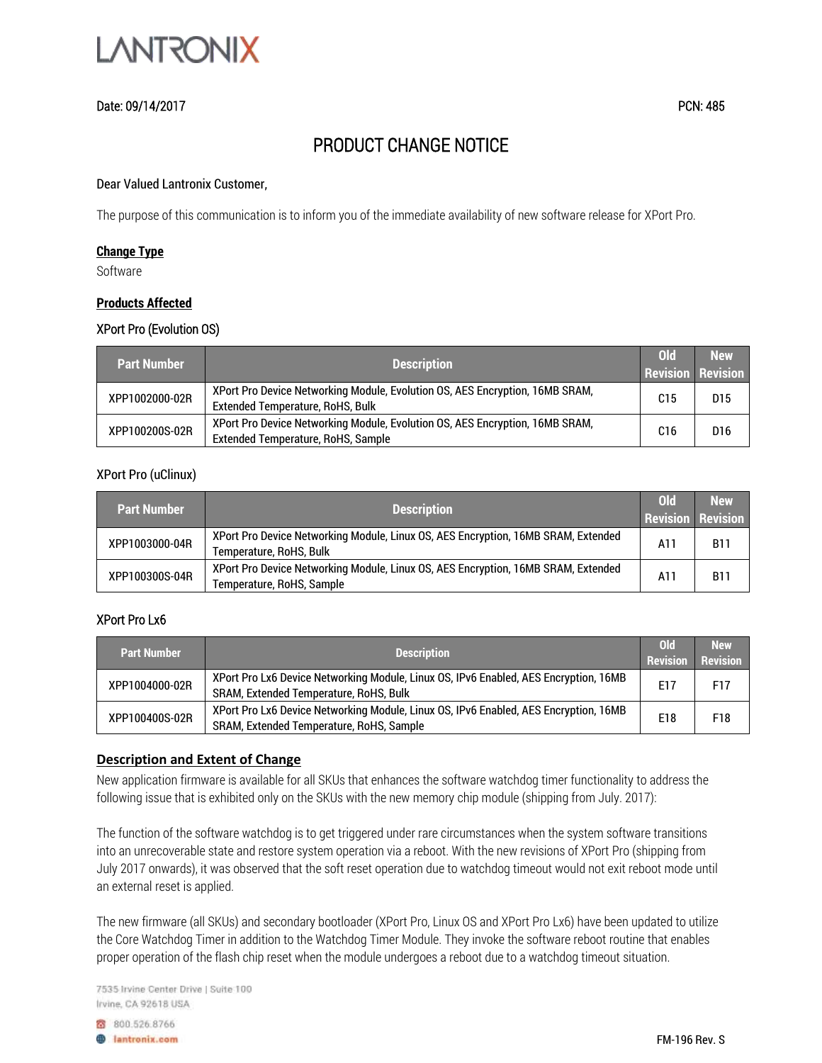

## Date: 09/14/2017 PCN: 485

# PRODUCT CHANGE NOTICE

#### Dear Valued Lantronix Customer,

The purpose of this communication is to inform you of the immediate availability of new software release for XPort Pro.

### **Change Type**

Software

### **Products Affected**

## XPort Pro (Evolution OS)

| <b>Part Number</b> | <b>Description</b>                                                                                                      | <b>Old</b><br><b>Revision Revision</b> | <b>New</b>      |
|--------------------|-------------------------------------------------------------------------------------------------------------------------|----------------------------------------|-----------------|
| XPP1002000-02R     | XPort Pro Device Networking Module, Evolution OS, AES Encryption, 16MB SRAM,<br><b>Extended Temperature, RoHS, Bulk</b> | C <sub>15</sub>                        | D <sub>15</sub> |
| XPP100200S-02R     | XPort Pro Device Networking Module, Evolution OS, AES Encryption, 16MB SRAM,<br>Extended Temperature, RoHS, Sample      | C <sub>16</sub>                        | D <sub>16</sub> |

#### XPort Pro (uClinux)

| <b>Part Number</b> | <b>Description</b>                                                                                             | <b>Old</b><br><b>Revision Revision</b> | <b>New</b> |
|--------------------|----------------------------------------------------------------------------------------------------------------|----------------------------------------|------------|
| XPP1003000-04R     | XPort Pro Device Networking Module, Linux OS, AES Encryption, 16MB SRAM, Extended<br>Temperature, RoHS, Bulk   |                                        | <b>B11</b> |
| XPP100300S-04R     | XPort Pro Device Networking Module, Linux OS, AES Encryption, 16MB SRAM, Extended<br>Temperature, RoHS, Sample | A11                                    | <b>B11</b> |

## XPort Pro Lx6

| <b>Part Number</b> | <b>Description</b>                                                                                                               | ol <sub>d</sub> | <b>New</b>      |
|--------------------|----------------------------------------------------------------------------------------------------------------------------------|-----------------|-----------------|
|                    |                                                                                                                                  | <b>Revision</b> | <b>Revision</b> |
| XPP1004000-02R     | XPort Pro Lx6 Device Networking Module, Linux OS, IPv6 Enabled, AES Encryption, 16MB<br>SRAM, Extended Temperature, RoHS, Bulk   |                 | F17             |
| XPP100400S-02R     | XPort Pro Lx6 Device Networking Module, Linux OS, IPv6 Enabled, AES Encryption, 16MB<br>SRAM, Extended Temperature, RoHS, Sample | E18             | F18             |

#### **Description and Extent of Change**

New application firmware is available for all SKUs that enhances the software watchdog timer functionality to address the following issue that is exhibited only on the SKUs with the new memory chip module (shipping from July. 2017):

The function of the software watchdog is to get triggered under rare circumstances when the system software transitions into an unrecoverable state and restore system operation via a reboot. With the new revisions of XPort Pro (shipping from July 2017 onwards), it was observed that the soft reset operation due to watchdog timeout would not exit reboot mode until an external reset is applied.

The new firmware (all SKUs) and secondary bootloader (XPort Pro, Linux OS and XPort Pro Lx6) have been updated to utilize the Core Watchdog Timer in addition to the Watchdog Timer Module. They invoke the software reboot routine that enables proper operation of the flash chip reset when the module undergoes a reboot due to a watchdog timeout situation.

7535 Irvine Center Drive | Suite 100 Irvine, CA 92618 USA

8 800.526.8766

**B** lantronix.com